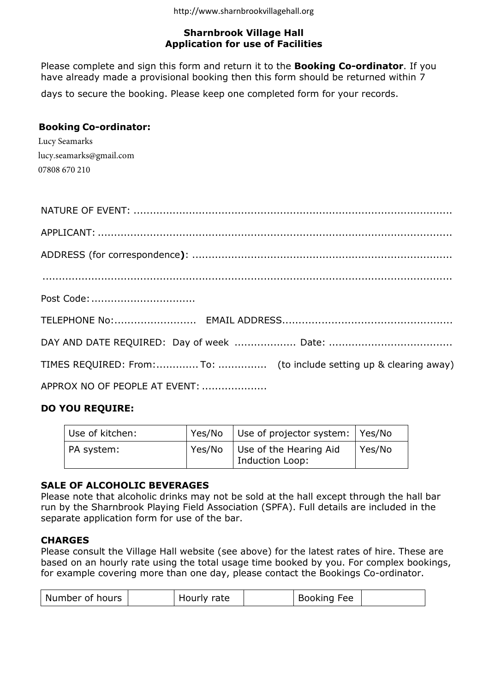## Sharnbrook Village Hall Application for use of Facilities

Please complete and sign this form and return it to the **Booking Co-ordinator**. If you have already made a provisional booking then this form should be returned within 7

days to secure the booking. Please keep one completed form for your records.

## Booking Co-ordinator:

Lucy Seamarks lucy.seamarks@gmail.com 07808 670 210

| TIMES REQUIRED: From:To:  (to include setting up & clearing away) |
|-------------------------------------------------------------------|
| APPROX NO OF PEOPLE AT EVENT:                                     |
|                                                                   |

# DO YOU REQUIRE:

| Use of kitchen: |        | Yes/No Use of projector system: Yes/No    |        |
|-----------------|--------|-------------------------------------------|--------|
| PA system:      | Yes/No | Use of the Hearing Aid<br>Induction Loop: | Yes/No |

## SALE OF ALCOHOLIC BEVERAGES

Please note that alcoholic drinks may not be sold at the hall except through the hall bar run by the Sharnbrook Playing Field Association (SPFA). Full details are included in the separate application form for use of the bar.

#### **CHARGES**

Please consult the Village Hall website (see above) for the latest rates of hire. These are based on an hourly rate using the total usage time booked by you. For complex bookings, for example covering more than one day, please contact the Bookings Co-ordinator.

| Number of hours<br>Hourly rate | Booking Fee |
|--------------------------------|-------------|
|--------------------------------|-------------|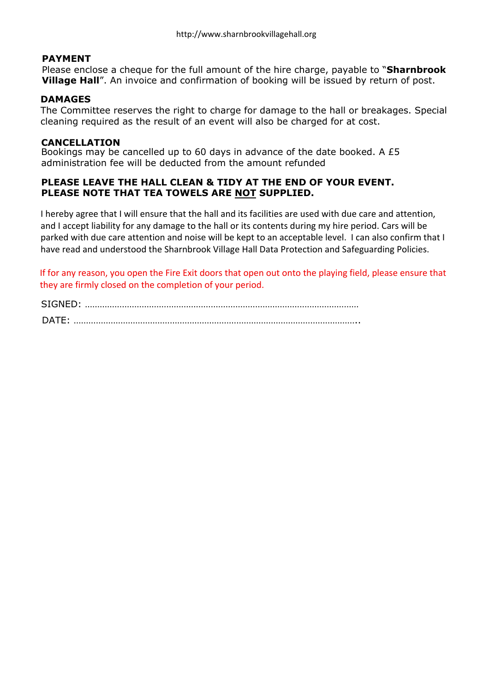#### PAYMENT

Please enclose a cheque for the full amount of the hire charge, payable to "Sharnbrook **Village Hall**". An invoice and confirmation of booking will be issued by return of post.

#### DAMAGES

The Committee reserves the right to charge for damage to the hall or breakages. Special cleaning required as the result of an event will also be charged for at cost.

#### **CANCELLATION**

Bookings may be cancelled up to 60 days in advance of the date booked. A £5 administration fee will be deducted from the amount refunded

## PLEASE LEAVE THE HALL CLEAN & TIDY AT THE END OF YOUR EVENT. PLEASE NOTE THAT TEA TOWELS ARE NOT SUPPLIED.

I hereby agree that I will ensure that the hall and its facilities are used with due care and attention, and I accept liability for any damage to the hall or its contents during my hire period. Cars will be parked with due care attention and noise will be kept to an acceptable level. I can also confirm that I have read and understood the Sharnbrook Village Hall Data Protection and Safeguarding Policies.

If for any reason, you open the Fire Exit doors that open out onto the playing field, please ensure that they are firmly closed on the completion of your period.

| <b>SIGNE</b> |  |
|--------------|--|
| <b>DAT</b>   |  |